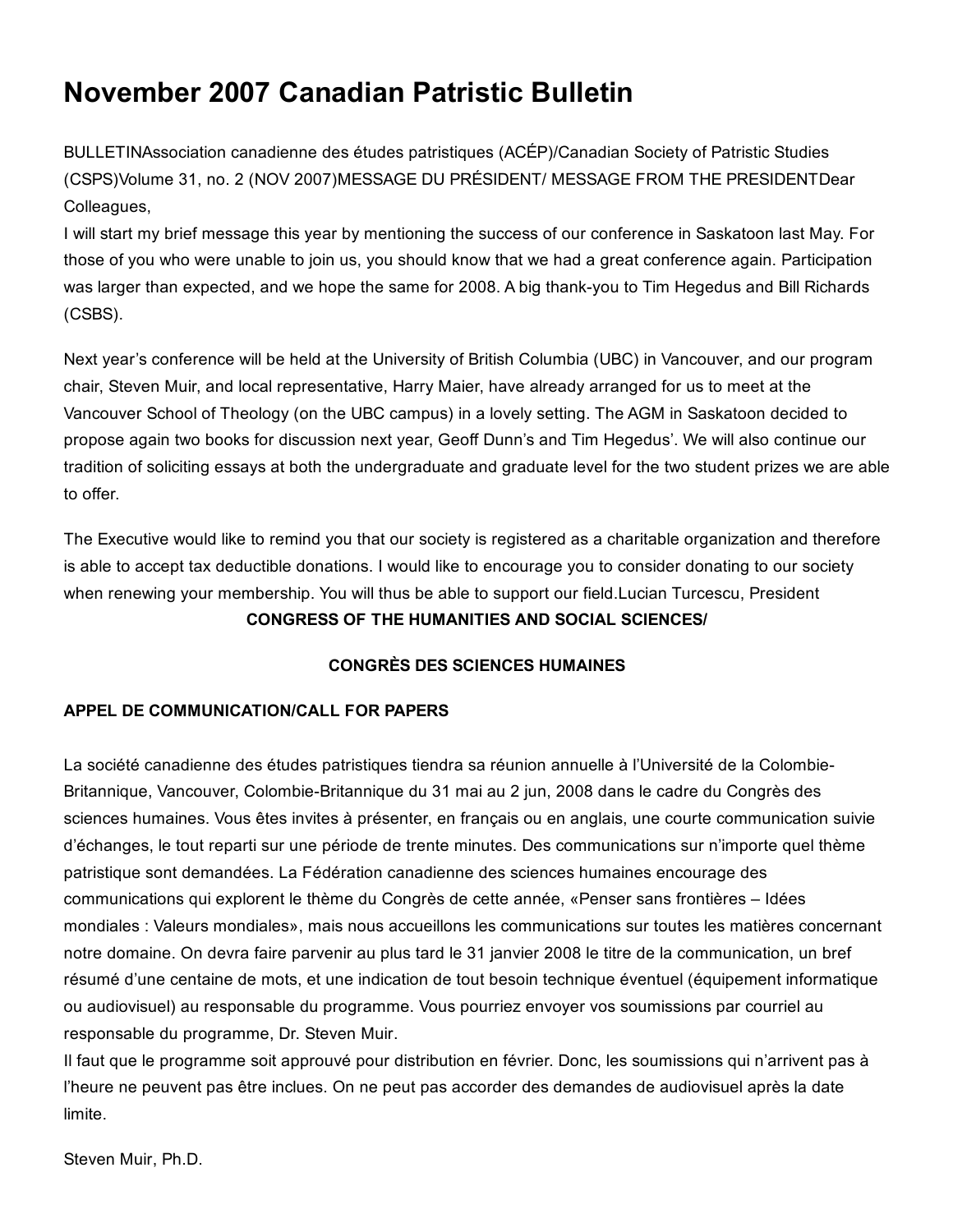# November 2007 Canadian Patristic Bulletin

BULLETINAssociation canadienne des études patristiques (ACÉP)/Canadian Society of Patristic Studies (CSPS)Volume 31, no. 2 (NOV 2007)MESSAGE DU PRÉSIDENT/ MESSAGE FROM THE PRESIDENTDear Colleagues,

I will start my brief message this year by mentioning the success of our conference in Saskatoon last May. For those of you who were unable to join us, you should know that we had a great conference again. Participation was larger than expected, and we hope the same for 2008. A big thank-you to Tim Hegedus and Bill Richards (CSBS).

Next year's conference will be held at the University of British Columbia (UBC) in Vancouver, and our program chair, Steven Muir, and local representative, Harry Maier, have already arranged for us to meet at the Vancouver School of Theology (on the UBC campus) in a lovely setting. The AGM in Saskatoon decided to propose again two books for discussion next year, Geoff Dunn's and Tim Hegedus'. We will also continue our tradition of soliciting essays at both the undergraduate and graduate level for the two student prizes we are able to offer.

The Executive would like to remind you that our society is registered as a charitable organization and therefore is able to accept tax deductible donations. I would like to encourage you to consider donating to our society when renewing your membership. You will thus be able to support our field.Lucian Turcescu, President CONGRESS OF THE HUMANITIES AND SOCIAL SCIENCES/

## CONGRÈS DES SCIENCES HUMAINES

## APPEL DE COMMUNICATION/CALL FOR PAPERS

La société canadienne des études patristiques tiendra sa réunion annuelle à l'Université de la Colombie-Britannique, Vancouver, Colombie-Britannique du 31 mai au 2 jun, 2008 dans le cadre du Congrès des sciences humaines. Vous êtes invites à présenter, en français ou en anglais, une courte communication suivie d'échanges, le tout reparti sur une période de trente minutes. Des communications sur n'importe quel thème patristique sont demandées. La Fédération canadienne des sciences humaines encourage des communications qui explorent le thème du Congrès de cette année, «Penser sans frontières – Idées mondiales : Valeurs mondiales», mais nous accueillons les communications sur toutes les matières concernant notre domaine. On devra faire parvenir au plus tard le 31 janvier 2008 le titre de la communication, un bref résumé d'une centaine de mots, et une indication de tout besoin technique éventuel (équipement informatique ou audiovisuel) au responsable du programme. Vous pourriez envoyer vos soumissions par courriel au responsable du programme, Dr. Steven Muir.

Il faut que le programme soit approuvé pour distribution en février. Donc, les soumissions qui n'arrivent pas à l'heure ne peuvent pas être inclues. On ne peut pas accorder des demandes de audiovisuel après la date limite.

Steven Muir, Ph.D.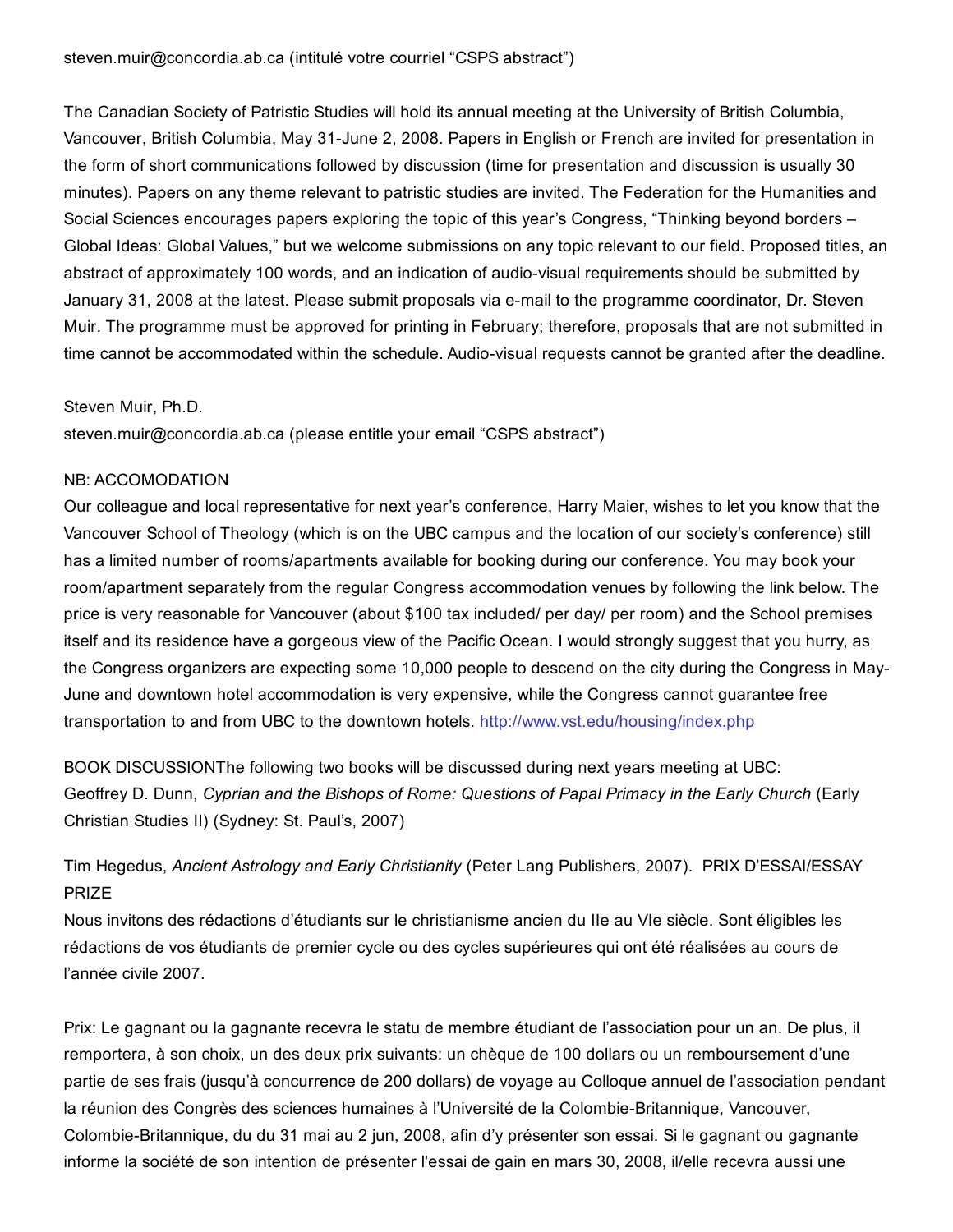The Canadian Society of Patristic Studies will hold its annual meeting at the University of British Columbia, Vancouver, British Columbia, May 31-June 2, 2008. Papers in English or French are invited for presentation in the form of short communications followed by discussion (time for presentation and discussion is usually 30 minutes). Papers on any theme relevant to patristic studies are invited. The Federation for the Humanities and Social Sciences encourages papers exploring the topic of this year's Congress, "Thinking beyond borders – Global Ideas: Global Values," but we welcome submissions on any topic relevant to our field. Proposed titles, an abstract of approximately 100 words, and an indication of audio-visual requirements should be submitted by January 31, 2008 at the latest. Please submit proposals via e-mail to the programme coordinator, Dr. Steven Muir. The programme must be approved for printing in February; therefore, proposals that are not submitted in time cannot be accommodated within the schedule. Audio-visual requests cannot be granted after the deadline.

#### Steven Muir, Ph.D.

steven.muir@concordia.ab.ca (please entitle your email "CSPS abstract")

#### NB: ACCOMODATION

Our colleague and local representative for next year's conference, Harry Maier, wishes to let you know that the Vancouver School of Theology (which is on the UBC campus and the location of our society's conference) still has a limited number of rooms/apartments available for booking during our conference. You may book your room/apartment separately from the regular Congress accommodation venues by following the link below. The price is very reasonable for Vancouver (about \$100 tax included/ per day/ per room) and the School premises itself and its residence have a gorgeous view of the Pacific Ocean. I would strongly suggest that you hurry, as the Congress organizers are expecting some 10,000 people to descend on the city during the Congress in May-June and downtown hotel accommodation is very expensive, while the Congress cannot guarantee free transportation to and from UBC to the downtown hotels. [http://www.vst.edu/housing/index.php](http://web.archive.org/web/20150201000104/http://www.vst.edu/housing/index.php)

BOOK DISCUSSIONThe following two books will be discussed during next years meeting at UBC: Geoffrey D. Dunn, *Cyprian and the Bishops of Rome: Questions of Papal Primacy in the Early Church* (Early Christian Studies II) (Sydney: St. Paul's, 2007)

## Tim Hegedus, *Ancient Astrology and Early Christianity* (Peter Lang Publishers, 2007). PRIX D'ESSAI/ESSAY PRIZE

Nous invitons des rédactions d'étudiants sur le christianisme ancien du IIe au VIe siècle. Sont éligibles les rédactions de vos étudiants de premier cycle ou des cycles supérieures qui ont été réalisées au cours de l'année civile 2007.

Prix: Le gagnant ou la gagnante recevra le statu de membre étudiant de l'association pour un an. De plus, il remportera, à son choix, un des deux prix suivants: un chèque de 100 dollars ou un remboursement d'une partie de ses frais (jusqu'à concurrence de 200 dollars) de voyage au Colloque annuel de l'association pendant la réunion des Congrès des sciences humaines à l'Université de la Colombie-Britannique, Vancouver, Colombie-Britannique, du du 31 mai au 2 jun, 2008, afin d'y présenter son essai. Si le gagnant ou gagnante informe la société de son intention de présenter l'essai de gain en mars 30, 2008, il/elle recevra aussi une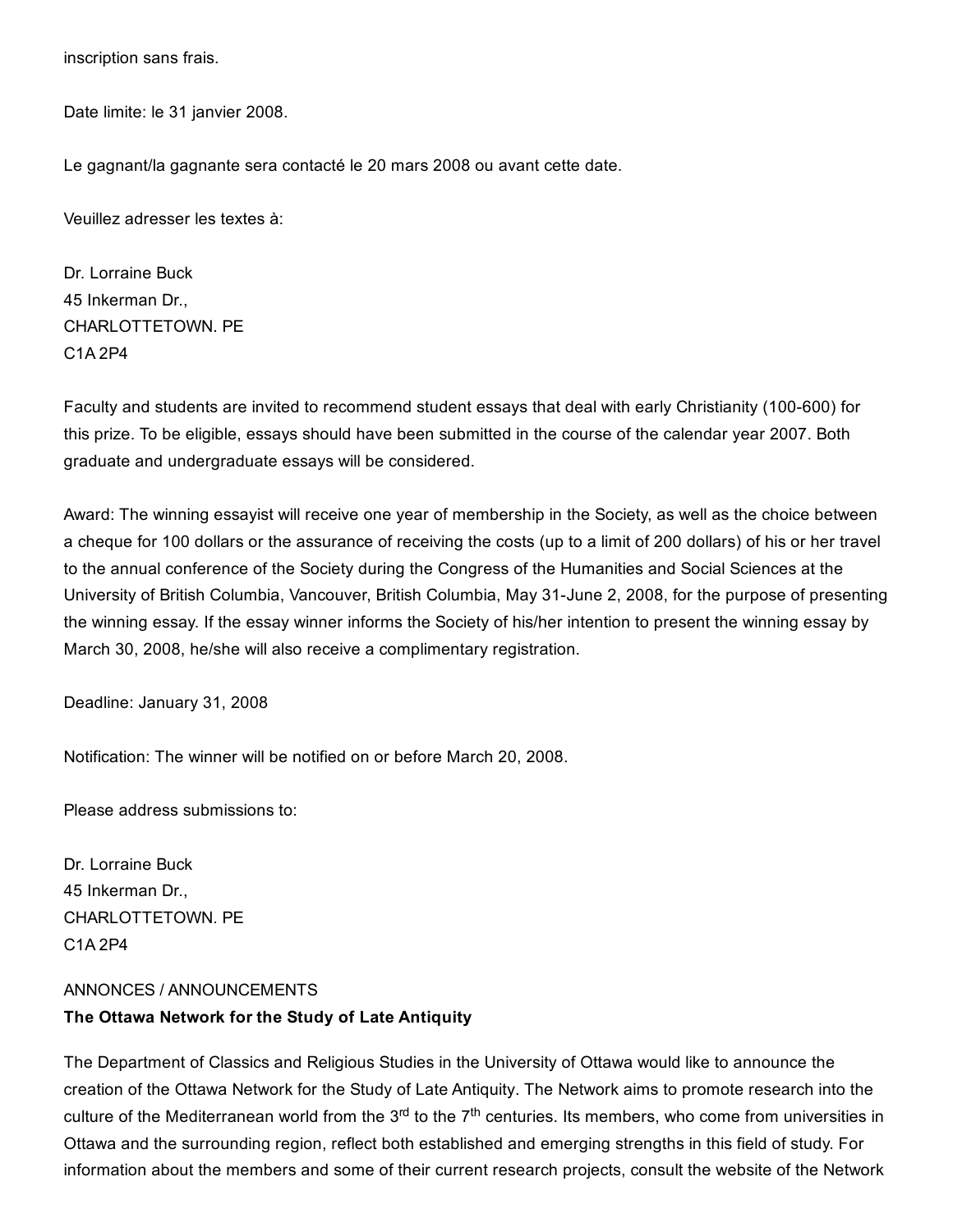inscription sans frais.

Date limite: le 31 janvier 2008.

Le gagnant/la gagnante sera contacté le 20 mars 2008 ou avant cette date.

Veuillez adresser les textes à:

Dr. Lorraine Buck 45 Inkerman Dr., CHARLOTTETOWN. PE C1A 2P4

Faculty and students are invited to recommend student essays that deal with early Christianity (100600) for this prize. To be eligible, essays should have been submitted in the course of the calendar year 2007. Both graduate and undergraduate essays will be considered.

Award: The winning essayist will receive one year of membership in the Society, as well as the choice between a cheque for 100 dollars or the assurance of receiving the costs (up to a limit of 200 dollars) of his or her travel to the annual conference of the Society during the Congress of the Humanities and Social Sciences at the University of British Columbia, Vancouver, British Columbia, May 31-June 2, 2008, for the purpose of presenting the winning essay. If the essay winner informs the Society of his/her intention to present the winning essay by March 30, 2008, he/she will also receive a complimentary registration.

Deadline: January 31, 2008

Notification: The winner will be notified on or before March 20, 2008.

Please address submissions to:

Dr. Lorraine Buck 45 Inkerman Dr., CHARLOTTETOWN. PE C1A 2P4

# ANNONCES / ANNOUNCEMENTS The Ottawa Network for the Study of Late Antiquity

The Department of Classics and Religious Studies in the University of Ottawa would like to announce the creation of the Ottawa Network for the Study of Late Antiquity. The Network aims to promote research into the culture of the Mediterranean world from the 3<sup>rd</sup> to the 7<sup>th</sup> centuries. Its members, who come from universities in Ottawa and the surrounding region, reflect both established and emerging strengths in this field of study. For information about the members and some of their current research projects, consult the website of the Network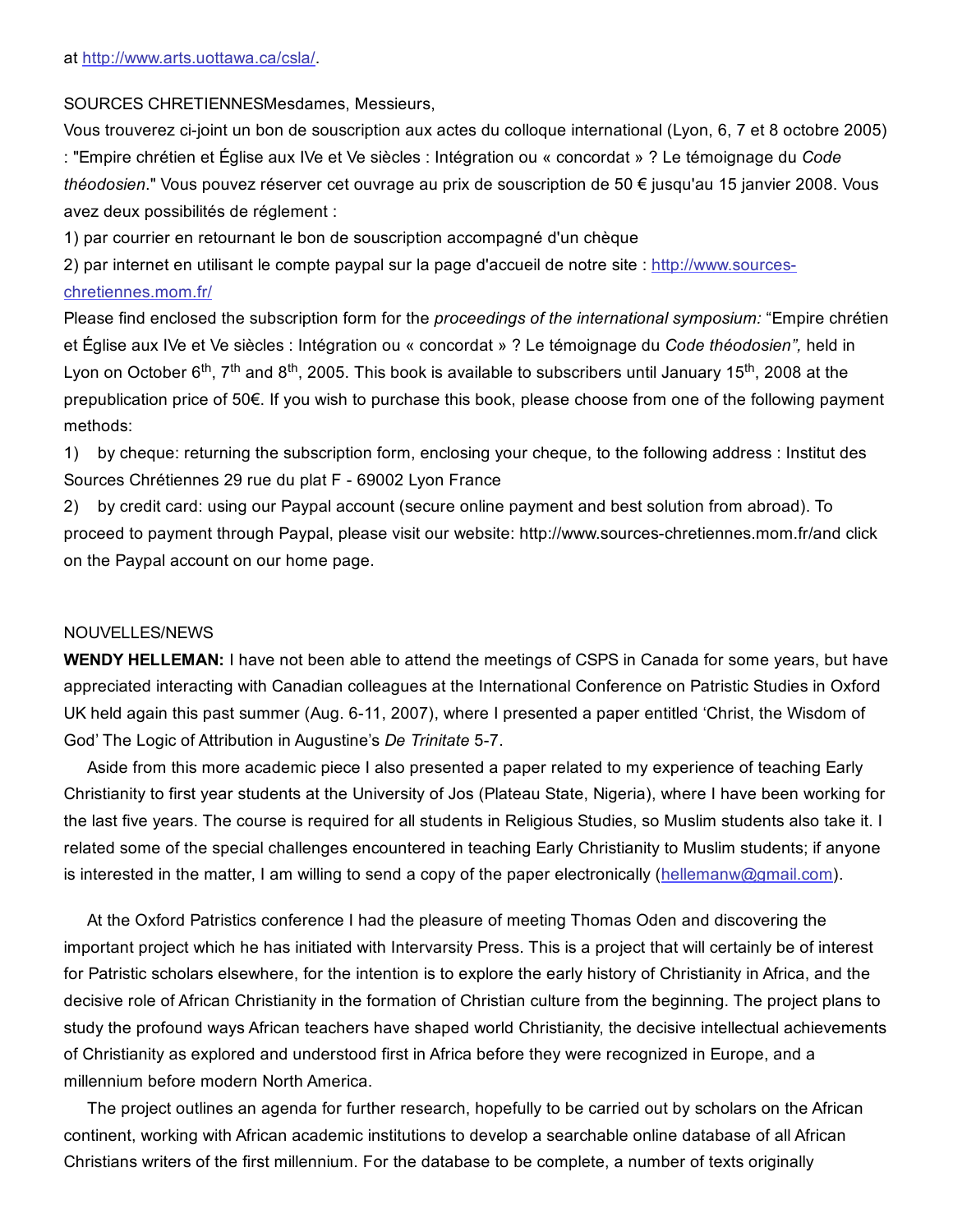SOURCES CHRETIENNESMesdames, Messieurs,

Vous trouverez cijoint un bon de souscription aux actes du colloque international (Lyon, 6, 7 et 8 octobre 2005) : "Empire chrétien et Église aux IVe et Ve siècles : Intégration ou « concordat » ? Le témoignage du *Code théodosien*." Vous pouvez réserver cet ouvrage au prix de souscription de 50 € jusqu'au 15 janvier 2008. Vous avez deux possibilités de réglement :

1) par courrier en retournant le bon de souscription accompagné d'un chèque

2) par internet en utilisant le compte paypal sur la page d'accueil de notre site : http://www.sources[chretiennes.mom.fr/](http://web.archive.org/web/20150201000104/http://www.sources-chretiennes.mom.fr/)

Please find enclosed the subscription form for the *proceedings of the international symposium:* "Empire chrétien et Église aux IVe et Ve siècles : Intégration ou « concordat » ? Le témoignage du *Code théodosien",* held in Lyon on October 6<sup>th</sup>, 7<sup>th</sup> and 8<sup>th</sup>, 2005. This book is available to subscribers until January 15<sup>th</sup>, 2008 at the prepublication price of 50€. If you wish to purchase this book, please choose from one of the following payment methods:

1) by cheque: returning the subscription form, enclosing your cheque, to the following address : Institut des Sources Chrétiennes 29 rue du plat F - 69002 Lyon France

2) by credit card: using our Paypal account (secure online payment and best solution from abroad). To proceed to payment through Paypal, please visit our website: http://www.sourceschretiennes.mom.fr/and click on the Paypal account on our home page.

#### NOUVELLES/NEWS

WENDY HELLEMAN: I have not been able to attend the meetings of CSPS in Canada for some years, but have appreciated interacting with Canadian colleagues at the International Conference on Patristic Studies in Oxford UK held again this past summer (Aug. 6-11, 2007), where I presented a paper entitled 'Christ, the Wisdom of God' The Logic of Attribution in Augustine's *De Trinitate* 57.

Aside from this more academic piece I also presented a paper related to my experience of teaching Early Christianity to first year students at the University of Jos (Plateau State, Nigeria), where I have been working for the last five years. The course is required for all students in Religious Studies, so Muslim students also take it. I related some of the special challenges encountered in teaching Early Christianity to Muslim students; if anyone is interested in the matter, I am willing to send a copy of the paper electronically ([hellemanw@gmail.com](mailto:hellemanw@gmail.com)).

At the Oxford Patristics conference I had the pleasure of meeting Thomas Oden and discovering the important project which he has initiated with Intervarsity Press. This is a project that will certainly be of interest for Patristic scholars elsewhere, for the intention is to explore the early history of Christianity in Africa, and the decisive role of African Christianity in the formation of Christian culture from the beginning. The project plans to study the profound ways African teachers have shaped world Christianity, the decisive intellectual achievements of Christianity as explored and understood first in Africa before they were recognized in Europe, and a millennium before modern North America.

The project outlines an agenda for further research, hopefully to be carried out by scholars on the African continent, working with African academic institutions to develop a searchable online database of all African Christians writers of the first millennium. For the database to be complete, a number of texts originally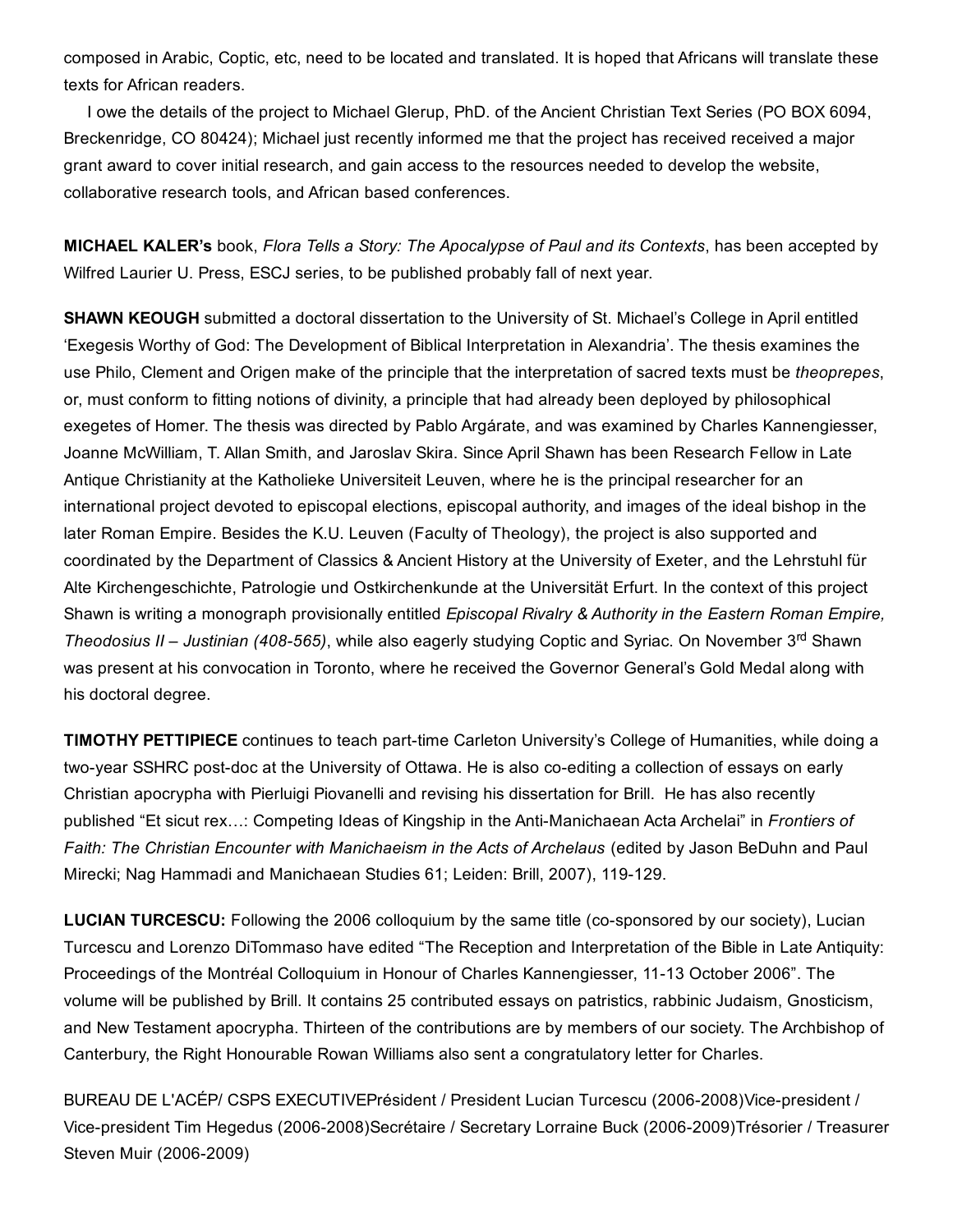composed in Arabic, Coptic, etc, need to be located and translated. It is hoped that Africans will translate these texts for African readers.

I owe the details of the project to Michael Glerup, PhD. of the Ancient Christian Text Series (PO BOX 6094, Breckenridge, CO 80424); Michael just recently informed me that the project has received received a major grant award to cover initial research, and gain access to the resources needed to develop the website, collaborative research tools, and African based conferences.

MICHAEL KALER's book, *Flora Tells a Story: The Apocalypse of Paul and its Contexts*, has been accepted by Wilfred Laurier U. Press, ESCJ series, to be published probably fall of next year.

SHAWN KEOUGH submitted a doctoral dissertation to the University of St. Michael's College in April entitled 'Exegesis Worthy of God: The Development of Biblical Interpretation in Alexandria'. The thesis examines the use Philo, Clement and Origen make of the principle that the interpretation of sacred texts must be *theoprepes*, or, must conform to fitting notions of divinity, a principle that had already been deployed by philosophical exegetes of Homer. The thesis was directed by Pablo Argárate, and was examined by Charles Kannengiesser, Joanne McWilliam, T. Allan Smith, and Jaroslav Skira. Since April Shawn has been Research Fellow in Late Antique Christianity at the Katholieke Universiteit Leuven, where he is the principal researcher for an international project devoted to episcopal elections, episcopal authority, and images of the ideal bishop in the later Roman Empire. Besides the K.U. Leuven (Faculty of Theology), the project is also supported and coordinated by the Department of Classics & Ancient History at the University of Exeter, and the Lehrstuhl für Alte Kirchengeschichte, Patrologie und Ostkirchenkunde at the Universität Erfurt. In the context of this project Shawn is writing a monograph provisionally entitled *Episcopal Rivalry & Authority in the Eastern Roman Empire,* Theodosius II - Justinian (408-565), while also eagerly studying Coptic and Syriac. On November 3<sup>rd</sup> Shawn was present at his convocation in Toronto, where he received the Governor General's Gold Medal along with his doctoral degree.

TIMOTHY PETTIPIECE continues to teach part-time Carleton University's College of Humanities, while doing a two-year SSHRC post-doc at the University of Ottawa. He is also co-editing a collection of essays on early Christian apocrypha with Pierluigi Piovanelli and revising his dissertation for Brill. He has also recently published "Et sicut rex...: Competing Ideas of Kingship in the Anti-Manichaean Acta Archelai" in *Frontiers of Faith: The Christian Encounter with Manichaeism in the Acts of Archelaus* (edited by Jason BeDuhn and Paul Mirecki; Nag Hammadi and Manichaean Studies 61; Leiden: Brill, 2007), 119-129.

**LUCIAN TURCESCU:** Following the 2006 colloquium by the same title (co-sponsored by our society), Lucian Turcescu and Lorenzo DiTommaso have edited "The Reception and Interpretation of the Bible in Late Antiquity: Proceedings of the Montréal Colloquium in Honour of Charles Kannengiesser, 11-13 October 2006". The volume will be published by Brill. It contains 25 contributed essays on patristics, rabbinic Judaism, Gnosticism, and New Testament apocrypha. Thirteen of the contributions are by members of our society. The Archbishop of Canterbury, the Right Honourable Rowan Williams also sent a congratulatory letter for Charles.

BUREAU DE L'ACÉP/ CSPS EXECUTIVEPrésident / President Lucian Turcescu (2006-2008)Vice-president / Vice-president Tim Hegedus (2006-2008)Secrétaire / Secretary Lorraine Buck (2006-2009)Trésorier / Treasurer Steven Muir (2006-2009)